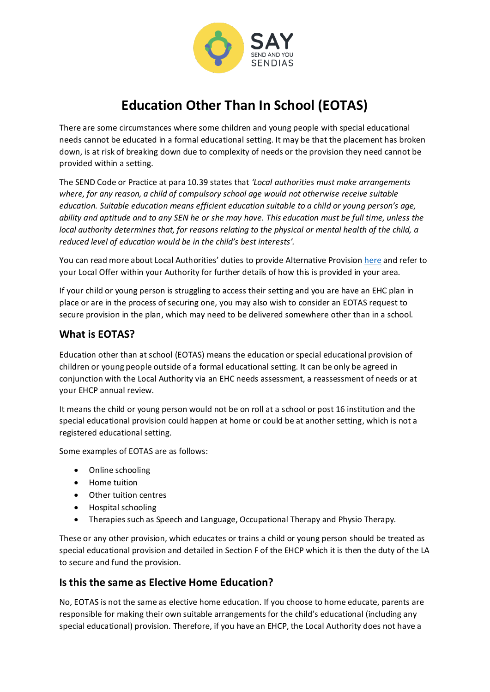

# **Education Other Than In School (EOTAS)**

There are some circumstances where some children and young people with special educational needs cannot be educated in a formal educational setting. It may be that the placement has broken down, is at risk of breaking down due to complexity of needs or the provision they need cannot be provided within a setting.

The SEND Code or Practice at para 10.39 states that *'Local authorities must make arrangements where, for any reason, a child of compulsory school age would not otherwise receive suitable education. Suitable education means efficient education suitable to a child or young person's age, ability and aptitude and to any SEN he or she may have. This education must be full time, unless the local authority determines that, for reasons relating to the physical or mental health of the child, a reduced level of education would be in the child's best interests'.*

You can read more about Local Authorities' duties to provide Alternative Provisio[n here](https://assets.publishing.service.gov.uk/government/uploads/system/uploads/attachment_data/file/942014/alternative_provision_statutory_guidance_accessible.pdf) and refer to your Local Offer within your Authority for further details of how this is provided in your area.

If your child or young person is struggling to access their setting and you are have an EHC plan in place or are in the process of securing one, you may also wish to consider an EOTAS request to secure provision in the plan, which may need to be delivered somewhere other than in a school.

### **What is EOTAS?**

Education other than at school (EOTAS) means the education or special educational provision of children or young people outside of a formal educational setting. It can be only be agreed in conjunction with the Local Authority via an EHC needs assessment, a reassessment of needs or at your EHCP annual review.

It means the child or young person would not be on roll at a school or post 16 institution and the special educational provision could happen at home or could be at another setting, which is not a registered educational setting.

Some examples of EOTAS are as follows:

- Online schooling
- Home tuition
- Other tuition centres
- Hospital schooling
- Therapies such as Speech and Language, Occupational Therapy and Physio Therapy.

These or any other provision, which educates or trains a child or young person should be treated as special educational provision and detailed in Section F of the EHCP which it is then the duty of the LA to secure and fund the provision.

#### **Is this the same as Elective Home Education?**

No, EOTAS is not the same as elective home education. If you choose to home educate, parents are responsible for making their own suitable arrangements for the child's educational (including any special educational) provision. Therefore, if you have an EHCP, the Local Authority does not have a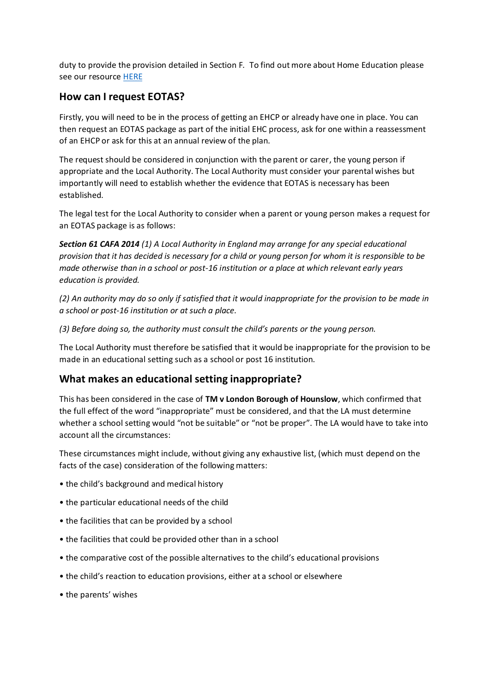duty to provide the provision detailed in Section F. To find out more about Home Education please see our resource [HERE](https://www.sendandyou.org.uk/wp-content/uploads/2021/08/Home-ed-toolkit-final-newlogo.pdf)

#### **How can I request EOTAS?**

Firstly, you will need to be in the process of getting an EHCP or already have one in place. You can then request an EOTAS package as part of the initial EHC process, ask for one within a reassessment of an EHCP or ask for this at an annual review of the plan.

The request should be considered in conjunction with the parent or carer, the young person if appropriate and the Local Authority. The Local Authority must consider your parental wishes but importantly will need to establish whether the evidence that EOTAS is necessary has been established.

The legal test for the Local Authority to consider when a parent or young person makes a request for an EOTAS package is as follows:

*Section 61 CAFA 2014 (1) A Local Authority in England may arrange for any special educational provision that it has decided is necessary for a child or young person for whom it is responsible to be made otherwise than in a school or post-16 institution or a place at which relevant early years education is provided.*

*(2) An authority may do so only if satisfied that it would inappropriate for the provision to be made in a school or post-16 institution or at such a place.*

*(3) Before doing so, the authority must consult the child's parents or the young person.*

The Local Authority must therefore be satisfied that it would be inappropriate for the provision to be made in an educational setting such as a school or post 16 institution.

#### **What makes an educational setting inappropriate?**

This has been considered in the case of **TM v London Borough of Hounslow**, which confirmed that the full effect of the word "inappropriate" must be considered, and that the LA must determine whether a school setting would "not be suitable" or "not be proper". The LA would have to take into account all the circumstances:

These circumstances might include, without giving any exhaustive list, (which must depend on the facts of the case) consideration of the following matters:

- the child's background and medical history
- the particular educational needs of the child
- the facilities that can be provided by a school
- the facilities that could be provided other than in a school
- the comparative cost of the possible alternatives to the child's educational provisions
- the child's reaction to education provisions, either at a school or elsewhere
- the parents' wishes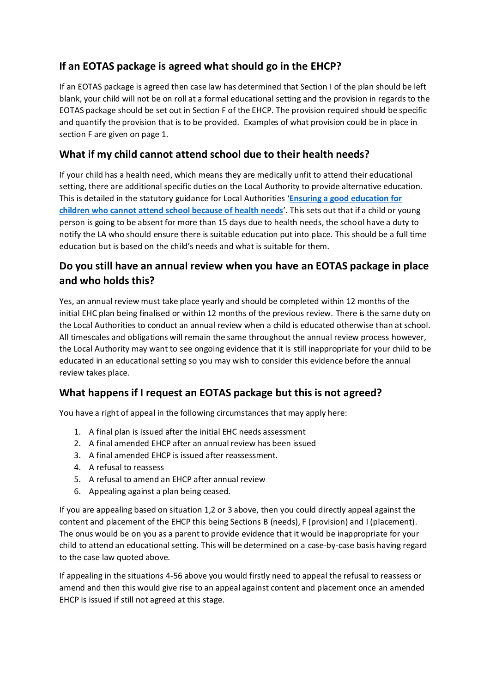# **If an EOTAS package is agreed what should go in the EHCP?**

If an EOTAS package is agreed then case law has determined that Section I of the plan should be left blank, your child will not be on roll at a formal educational setting and the provision in regards to the EOTAS package should be set out in Section F of the EHCP. The provision required should be specific and quantify the provision that is to be provided. Examples of what provision could be in place in section F are given on page 1.

## **What if my child cannot attend school due to their health needs?**

If your child has a health need, which means they are medically unfit to attend their educational setting, there are additional specific duties on the Local Authority to provide alternative education. This is detailed in the statutory guidance for Local Authorities '**[Ensuring a good education for](https://assets.publishing.service.gov.uk/government/uploads/system/uploads/attachment_data/file/941900/health_needs_guidance_accessible.pdf)  [children who cannot attend school because of health needs](https://assets.publishing.service.gov.uk/government/uploads/system/uploads/attachment_data/file/941900/health_needs_guidance_accessible.pdf)**'. This sets out that if a child or young person is going to be absent for more than 15 days due to health needs, the school have a duty to notify the LA who should ensure there is suitable education put into place. This should be a full time education but is based on the child's needs and what is suitable for them.

# **Do you still have an annual review when you have an EOTAS package in place and who holds this?**

Yes, an annual review must take place yearly and should be completed within 12 months of the initial EHC plan being finalised or within 12 months of the previous review. There is the same duty on the Local Authorities to conduct an annual review when a child is educated otherwise than at school. All timescales and obligations will remain the same throughout the annual review process however, the Local Authority may want to see ongoing evidence that it is still inappropriate for your child to be educated in an educational setting so you may wish to consider this evidence before the annual review takes place.

## **What happens if I request an EOTAS package but this is not agreed?**

You have a right of appeal in the following circumstances that may apply here:

- 1. A final plan is issued after the initial EHC needs assessment
- 2. A final amended EHCP after an annual review has been issued
- 3. A final amended EHCP is issued after reassessment.
- 4. A refusal to reassess
- 5. A refusal to amend an EHCP after annual review
- 6. Appealing against a plan being ceased.

If you are appealing based on situation 1,2 or 3 above, then you could directly appeal against the content and placement of the EHCP this being Sections B (needs), F (provision) and I (placement). The onus would be on you as a parent to provide evidence that it would be inappropriate for your child to attend an educational setting. This will be determined on a case-by-case basis having regard to the case law quoted above.

If appealing in the situations 4-56 above you would firstly need to appeal the refusal to reassess or amend and then this would give rise to an appeal against content and placement once an amended EHCP is issued if still not agreed at this stage.